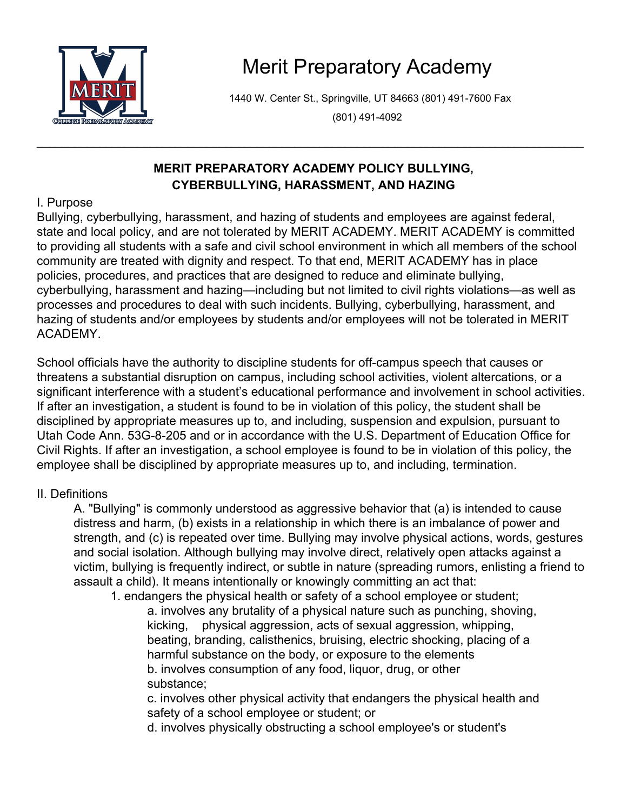

# Merit Preparatory Academy

1440 W. Center St., Springville, UT 84663 (801) 491-7600 Fax

(801) 491-4092

## **MERIT PREPARATORY ACADEMY POLICY BULLYING, CYBERBULLYING, HARASSMENT, AND HAZING**

\_\_\_\_\_\_\_\_\_\_\_\_\_\_\_\_\_\_\_\_\_\_\_\_\_\_\_\_\_\_\_\_\_\_\_\_\_\_\_\_\_\_\_\_\_\_\_\_\_\_\_\_\_\_\_\_\_\_\_\_\_\_\_\_\_\_\_\_\_\_\_\_\_\_\_\_\_\_\_\_\_\_\_\_\_\_\_

## I. Purpose

Bullying, cyberbullying, harassment, and hazing of students and employees are against federal, state and local policy, and are not tolerated by MERIT ACADEMY. MERIT ACADEMY is committed to providing all students with a safe and civil school environment in which all members of the school community are treated with dignity and respect. To that end, MERIT ACADEMY has in place policies, procedures, and practices that are designed to reduce and eliminate bullying, cyberbullying, harassment and hazing—including but not limited to civil rights violations—as well as processes and procedures to deal with such incidents. Bullying, cyberbullying, harassment, and hazing of students and/or employees by students and/or employees will not be tolerated in MERIT ACADEMY.

School officials have the authority to discipline students for off-campus speech that causes or threatens a substantial disruption on campus, including school activities, violent altercations, or a significant interference with a student's educational performance and involvement in school activities. If after an investigation, a student is found to be in violation of this policy, the student shall be disciplined by appropriate measures up to, and including, suspension and expulsion, pursuant to Utah Code Ann. 53G-8-205 and or in accordance with the U.S. Department of Education Office for Civil Rights. If after an investigation, a school employee is found to be in violation of this policy, the employee shall be disciplined by appropriate measures up to, and including, termination.

## II. Definitions

A. "Bullying" is commonly understood as aggressive behavior that (a) is intended to cause distress and harm, (b) exists in a relationship in which there is an imbalance of power and strength, and (c) is repeated over time. Bullying may involve physical actions, words, gestures and social isolation. Although bullying may involve direct, relatively open attacks against a victim, bullying is frequently indirect, or subtle in nature (spreading rumors, enlisting a friend to assault a child). It means intentionally or knowingly committing an act that:

1. endangers the physical health or safety of a school employee or student; a. involves any brutality of a physical nature such as punching, shoving, kicking, physical aggression, acts of sexual aggression, whipping, beating, branding, calisthenics, bruising, electric shocking, placing of a harmful substance on the body, or exposure to the elements b. involves consumption of any food, liquor, drug, or other substance;

c. involves other physical activity that endangers the physical health and safety of a school employee or student; or

d. involves physically obstructing a school employee's or student's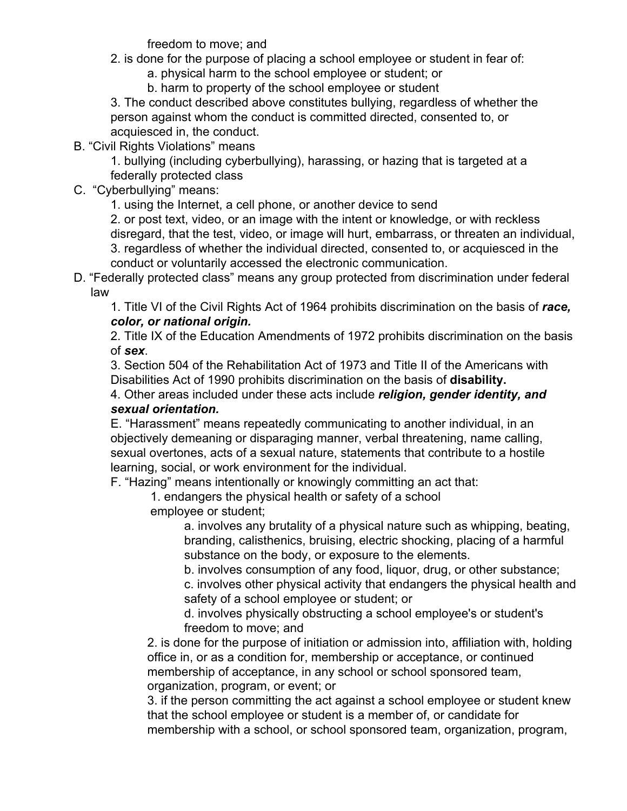freedom to move; and

- 2. is done for the purpose of placing a school employee or student in fear of:
	- a. physical harm to the school employee or student; or
	- b. harm to property of the school employee or student

3. The conduct described above constitutes bullying, regardless of whether the person against whom the conduct is committed directed, consented to, or acquiesced in, the conduct.

B. "Civil Rights Violations" means

1. bullying (including cyberbullying), harassing, or hazing that is targeted at a federally protected class

C. "Cyberbullying" means:

1. using the Internet, a cell phone, or another device to send

2. or post text, video, or an image with the intent or knowledge, or with reckless disregard, that the test, video, or image will hurt, embarrass, or threaten an individual, 3. regardless of whether the individual directed, consented to, or acquiesced in the conduct or voluntarily accessed the electronic communication.

D. "Federally protected class" means any group protected from discrimination under federal law

1. Title VI of the Civil Rights Act of 1964 prohibits discrimination on the basis of *race, color, or national origin.*

2. Title IX of the Education Amendments of 1972 prohibits discrimination on the basis of *sex*.

3. Section 504 of the Rehabilitation Act of 1973 and Title II of the Americans with Disabilities Act of 1990 prohibits discrimination on the basis of **disability.**

4. Other areas included under these acts include *religion, gender identity, and sexual orientation.*

E. "Harassment" means repeatedly communicating to another individual, in an objectively demeaning or disparaging manner, verbal threatening, name calling, sexual overtones, acts of a sexual nature, statements that contribute to a hostile learning, social, or work environment for the individual.

F. "Hazing" means intentionally or knowingly committing an act that:

1. endangers the physical health or safety of a school

employee or student;

a. involves any brutality of a physical nature such as whipping, beating, branding, calisthenics, bruising, electric shocking, placing of a harmful substance on the body, or exposure to the elements.

b. involves consumption of any food, liquor, drug, or other substance;

c. involves other physical activity that endangers the physical health and safety of a school employee or student; or

d. involves physically obstructing a school employee's or student's freedom to move; and

2. is done for the purpose of initiation or admission into, affiliation with, holding office in, or as a condition for, membership or acceptance, or continued membership of acceptance, in any school or school sponsored team, organization, program, or event; or

3. if the person committing the act against a school employee or student knew that the school employee or student is a member of, or candidate for membership with a school, or school sponsored team, organization, program,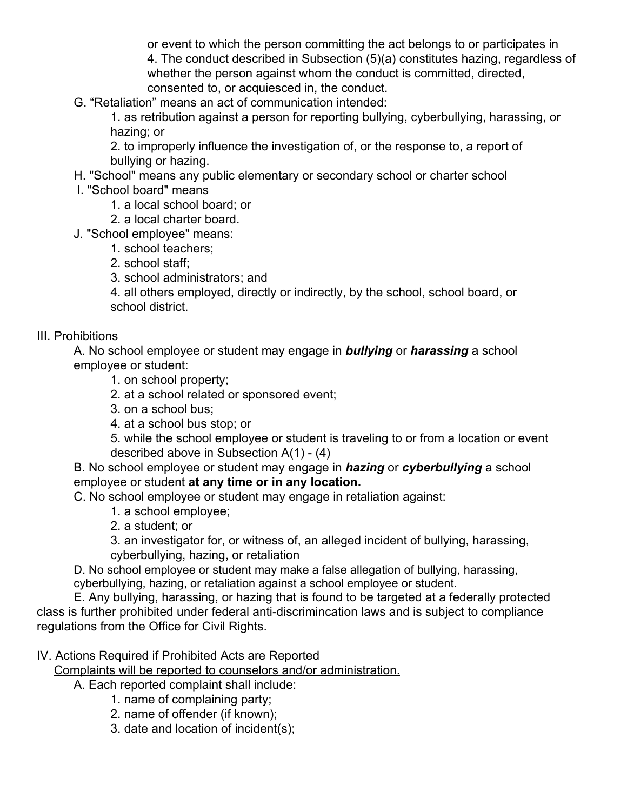or event to which the person committing the act belongs to or participates in 4. The conduct described in Subsection (5)(a) constitutes hazing, regardless of whether the person against whom the conduct is committed, directed, consented to, or acquiesced in, the conduct.

G. "Retaliation" means an act of communication intended:

1. as retribution against a person for reporting bullying, cyberbullying, harassing, or hazing; or

2. to improperly influence the investigation of, or the response to, a report of bullying or hazing.

- H. "School" means any public elementary or secondary school or charter school
- I. "School board" means
	- 1. a local school board; or
	- 2. a local charter board.
- J. "School employee" means:
	- 1. school teachers;
	- 2. school staff;
	- 3. school administrators; and

4. all others employed, directly or indirectly, by the school, school board, or school district.

#### III. Prohibitions

A. No school employee or student may engage in *bullying* or *harassing* a school employee or student:

- 1. on school property;
- 2. at a school related or sponsored event;
- 3. on a school bus;
- 4. at a school bus stop; or

5. while the school employee or student is traveling to or from a location or event described above in Subsection A(1) - (4)

B. No school employee or student may engage in *hazing* or *cyberbullying* a school employee or student **at any time or in any location.**

C. No school employee or student may engage in retaliation against:

- 1. a school employee;
- 2. a student; or

3. an investigator for, or witness of, an alleged incident of bullying, harassing, cyberbullying, hazing, or retaliation

D. No school employee or student may make a false allegation of bullying, harassing, cyberbullying, hazing, or retaliation against a school employee or student.

E. Any bullying, harassing, or hazing that is found to be targeted at a federally protected class is further prohibited under federal anti-discrimincation laws and is subject to compliance regulations from the Office for Civil Rights.

#### IV. Actions Required if Prohibited Acts are Reported

Complaints will be reported to counselors and/or administration.

A. Each reported complaint shall include:

- 1. name of complaining party;
- 2. name of offender (if known);
- 3. date and location of incident(s);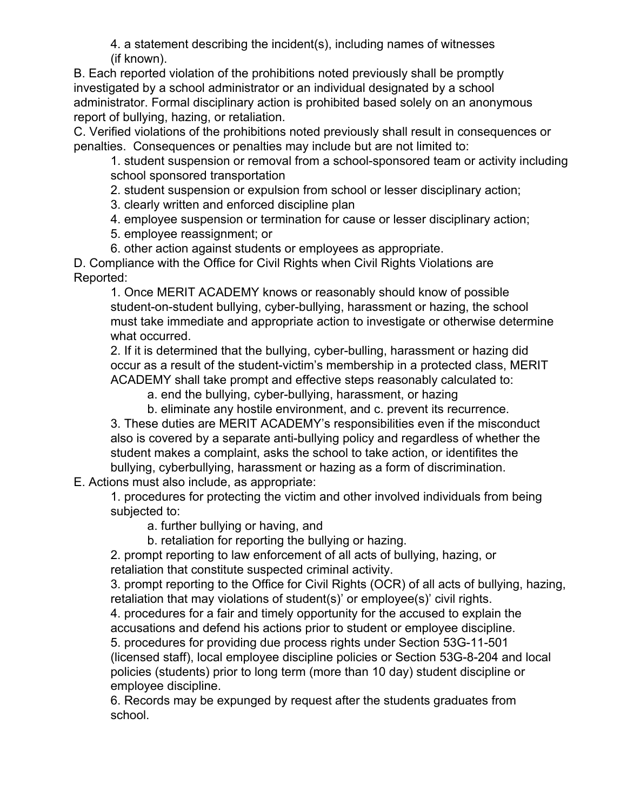4. a statement describing the incident(s), including names of witnesses (if known).

B. Each reported violation of the prohibitions noted previously shall be promptly investigated by a school administrator or an individual designated by a school administrator. Formal disciplinary action is prohibited based solely on an anonymous report of bullying, hazing, or retaliation.

C. Verified violations of the prohibitions noted previously shall result in consequences or penalties. Consequences or penalties may include but are not limited to:

1. student suspension or removal from a school-sponsored team or activity including school sponsored transportation

2. student suspension or expulsion from school or lesser disciplinary action;

3. clearly written and enforced discipline plan

4. employee suspension or termination for cause or lesser disciplinary action;

5. employee reassignment; or

6. other action against students or employees as appropriate.

D. Compliance with the Office for Civil Rights when Civil Rights Violations are Reported:

1. Once MERIT ACADEMY knows or reasonably should know of possible student-on-student bullying, cyber-bullying, harassment or hazing, the school must take immediate and appropriate action to investigate or otherwise determine what occurred.

2. If it is determined that the bullying, cyber-bulling, harassment or hazing did occur as a result of the student-victim's membership in a protected class, MERIT ACADEMY shall take prompt and effective steps reasonably calculated to:

a. end the bullying, cyber-bullying, harassment, or hazing

b. eliminate any hostile environment, and c. prevent its recurrence.

3. These duties are MERIT ACADEMY's responsibilities even if the misconduct also is covered by a separate anti-bullying policy and regardless of whether the student makes a complaint, asks the school to take action, or identifites the bullying, cyberbullying, harassment or hazing as a form of discrimination.

E. Actions must also include, as appropriate:

1. procedures for protecting the victim and other involved individuals from being subjected to:

a. further bullying or having, and

b. retaliation for reporting the bullying or hazing.

2. prompt reporting to law enforcement of all acts of bullying, hazing, or retaliation that constitute suspected criminal activity.

3. prompt reporting to the Office for Civil Rights (OCR) of all acts of bullying, hazing, retaliation that may violations of student(s)' or employee(s)' civil rights.

4. procedures for a fair and timely opportunity for the accused to explain the accusations and defend his actions prior to student or employee discipline.

5. procedures for providing due process rights under Section 53G-11-501 (licensed staff), local employee discipline policies or Section 53G-8-204 and local policies (students) prior to long term (more than 10 day) student discipline or employee discipline.

6. Records may be expunged by request after the students graduates from school.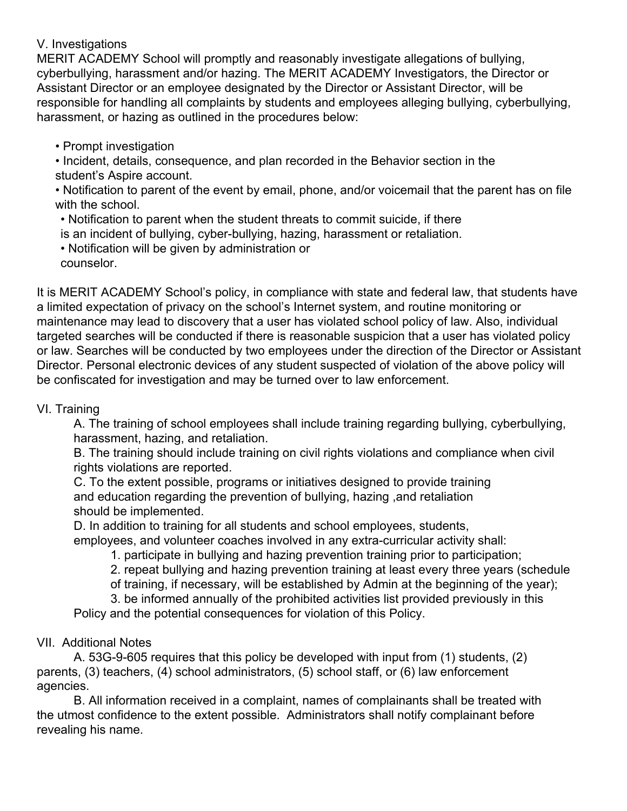#### V. Investigations

MERIT ACADEMY School will promptly and reasonably investigate allegations of bullying, cyberbullying, harassment and/or hazing. The MERIT ACADEMY Investigators, the Director or Assistant Director or an employee designated by the Director or Assistant Director, will be responsible for handling all complaints by students and employees alleging bullying, cyberbullying, harassment, or hazing as outlined in the procedures below:

• Prompt investigation

• Incident, details, consequence, and plan recorded in the Behavior section in the student's Aspire account.

• Notification to parent of the event by email, phone, and/or voicemail that the parent has on file with the school.

• Notification to parent when the student threats to commit suicide, if there

is an incident of bullying, cyber-bullying, hazing, harassment or retaliation.

• Notification will be given by administration or

counselor.

It is MERIT ACADEMY School's policy, in compliance with state and federal law, that students have a limited expectation of privacy on the school's Internet system, and routine monitoring or maintenance may lead to discovery that a user has violated school policy of law. Also, individual targeted searches will be conducted if there is reasonable suspicion that a user has violated policy or law. Searches will be conducted by two employees under the direction of the Director or Assistant Director. Personal electronic devices of any student suspected of violation of the above policy will be confiscated for investigation and may be turned over to law enforcement.

#### VI. Training

A. The training of school employees shall include training regarding bullying, cyberbullying, harassment, hazing, and retaliation.

B. The training should include training on civil rights violations and compliance when civil rights violations are reported.

C. To the extent possible, programs or initiatives designed to provide training and education regarding the prevention of bullying, hazing ,and retaliation should be implemented.

D. In addition to training for all students and school employees, students,

employees, and volunteer coaches involved in any extra-curricular activity shall:

1. participate in bullying and hazing prevention training prior to participation;

2. repeat bullying and hazing prevention training at least every three years (schedule of training, if necessary, will be established by Admin at the beginning of the year);

3. be informed annually of the prohibited activities list provided previously in this

Policy and the potential consequences for violation of this Policy.

## VII. Additional Notes

A. 53G-9-605 requires that this policy be developed with input from (1) students, (2) parents, (3) teachers, (4) school administrators, (5) school staff, or (6) law enforcement agencies.

B. All information received in a complaint, names of complainants shall be treated with the utmost confidence to the extent possible. Administrators shall notify complainant before revealing his name.